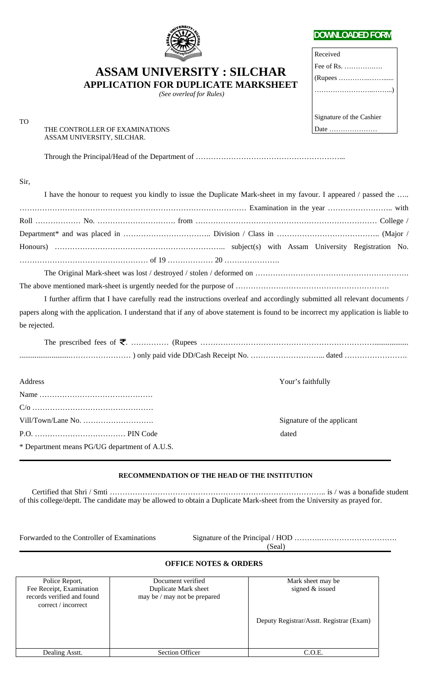

## **DOWNLOADED FORM**

| Received                 |
|--------------------------|
|                          |
|                          |
|                          |
|                          |
| Signature of the Cashier |
|                          |

# **ASSAM UNIVERSITY : SILCHAR**

**APPLICATION FOR DUPLICATE MARKSHEET** 

 *(See overleaf for Rules)* 

| . |                                |
|---|--------------------------------|
|   | THE CONTROLLER OF EXAMINATIONS |
|   | ASSAM UNIVERSITY, SILCHAR.     |

Through the Principal/Head of the Department of …………………………………………………...

### Sir,

TO

|                                               | I have the honour to request you kindly to issue the Duplicate Mark-sheet in my favour. I appeared / passed the                     |
|-----------------------------------------------|-------------------------------------------------------------------------------------------------------------------------------------|
|                                               |                                                                                                                                     |
|                                               |                                                                                                                                     |
|                                               |                                                                                                                                     |
|                                               |                                                                                                                                     |
|                                               |                                                                                                                                     |
|                                               |                                                                                                                                     |
|                                               |                                                                                                                                     |
|                                               | I further affirm that I have carefully read the instructions overleaf and accordingly submitted all relevant documents /            |
|                                               | papers along with the application. I understand that if any of above statement is found to be incorrect my application is liable to |
| be rejected.                                  |                                                                                                                                     |
|                                               |                                                                                                                                     |
|                                               |                                                                                                                                     |
| Address                                       | Your's faithfully                                                                                                                   |
|                                               |                                                                                                                                     |
|                                               |                                                                                                                                     |
|                                               | Signature of the applicant                                                                                                          |
|                                               | dated                                                                                                                               |
| * Department means PG/UG department of A.U.S. |                                                                                                                                     |

## **RECOMMENDATION OF THE HEAD OF THE INSTITUTION**

 Certified that Shri / Smti ………………………………………………………………………….. is / was a bonafide student of this college/deptt. The candidate may be allowed to obtain a Duplicate Mark-sheet from the University as prayed for.

Forwarded to the Controller of Examinations Signature of the Principal / HOD ……….…………………………. (Seal)

#### **OFFICE NOTES & ORDERS**

| Police Report,<br>Fee Receipt, Examination<br>records verified and found<br>correct / incorrect | Document verified<br>Duplicate Mark sheet<br>may be / may not be prepared | Mark sheet may be<br>signed & issued<br>Deputy Registrar/Asstt. Registrar (Exam) |
|-------------------------------------------------------------------------------------------------|---------------------------------------------------------------------------|----------------------------------------------------------------------------------|
| Dealing Asstt.                                                                                  | <b>Section Officer</b>                                                    | C.O.E.                                                                           |